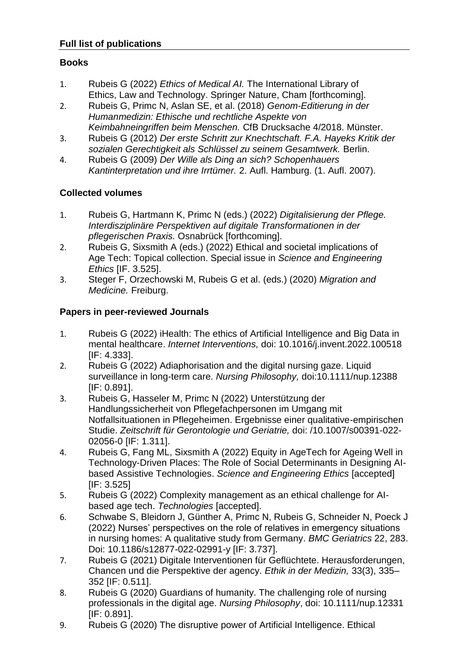#### **Books**

- 1. Rubeis G (2022) *Ethics of Medical AI.* The International Library of Ethics, Law and Technology. Springer Nature, Cham [forthcoming].
- 2. Rubeis G, Primc N, Aslan SE, et al. (2018) *Genom-Editierung in der Humanmedizin: Ethische und rechtliche Aspekte von Keimbahneingriffen beim Menschen.* CfB Drucksache 4/2018. Münster.
- 3. Rubeis G (2012) *Der erste Schritt zur Knechtschaft. F.A. Hayeks Kritik der sozialen Gerechtigkeit als Schlüssel zu seinem Gesamtwerk.* Berlin.
- 4. Rubeis G (2009) *Der Wille als Ding an sich? Schopenhauers Kantinterpretation und ihre Irrtümer.* 2. Aufl. Hamburg. (1. Aufl. 2007).

### **Collected volumes**

- 1. Rubeis G, Hartmann K, Primc N (eds.) (2022) *Digitalisierung der Pflege. Interdisziplinäre Perspektiven auf digitale Transformationen in der pflegerischen Praxis.* Osnabrück [forthcoming].
- 2. Rubeis G, Sixsmith A (eds.) (2022) Ethical and societal implications of Age Tech: Topical collection. Special issue in *Science and Engineering Ethics* [IF. 3.525].
- 3. Steger F, Orzechowski M, Rubeis G et al. (eds.) (2020) *Migration and Medicine.* Freiburg.

#### **Papers in peer-reviewed Journals**

- 1. Rubeis G (2022) iHealth: The ethics of Artificial Intelligence and Big Data in mental healthcare. *Internet Interventions,* doi: 10.1016/j.invent.2022.100518 [IF: 4.333].
- 2. Rubeis G (2022) Adiaphorisation and the digital nursing gaze. Liquid surveillance in long-term care. *Nursing Philosophy,* doi:10.1111/nup.12388 [IF: 0.891].
- 3. Rubeis G, Hasseler M, Primc N (2022) Unterstützung der Handlungssicherheit von Pflegefachpersonen im Umgang mit Notfallsituationen in Pflegeheimen. Ergebnisse einer qualitative-empirischen Studie. *Zeitschrift für Gerontologie und Geriatrie,* doi: /10.1007/s00391-022- 02056-0 [IF: 1.311].
- 4. Rubeis G, Fang ML, Sixsmith A (2022) Equity in AgeTech for Ageing Well in Technology-Driven Places: The Role of Social Determinants in Designing AIbased Assistive Technologies. *Science and Engineering Ethics* [accepted] [IF: 3.525]
- 5. Rubeis G (2022) Complexity management as an ethical challenge for AIbased age tech. *Technologies* [accepted].
- 6. Schwabe S, Bleidorn J, Günther A, Primc N, Rubeis G, Schneider N, Poeck J (2022) Nurses' perspectives on the role of relatives in emergency situations in nursing homes: A qualitative study from Germany. *BMC Geriatrics* 22, 283. Doi: 10.1186/s12877-022-02991-y [IF: 3.737].
- 7. Rubeis G (2021) Digitale Interventionen für Geflüchtete. Herausforderungen, Chancen und die Perspektive der agency. *Ethik in der Medizin,* 33(3), 335– 352 [IF: 0.511].
- 8. Rubeis G (2020) Guardians of humanity. The challenging role of nursing professionals in the digital age. *Nursing Philosophy*, doi: 10.1111/nup.12331 [IF: 0.891].
- 9. Rubeis G (2020) The disruptive power of Artificial Intelligence. Ethical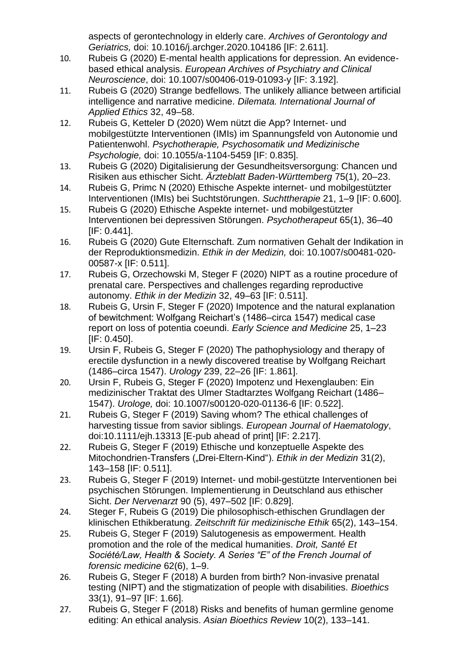aspects of gerontechnology in elderly care. *Archives of Gerontology and Geriatrics,* doi: 10.1016/j.archger.2020.104186 [IF: 2.611].

- 10. Rubeis G (2020) E-mental health applications for depression. An evidencebased ethical analysis. *European Archives of Psychiatry and Clinical Neuroscience*, doi: 10.1007/s00406-019-01093-y [IF: 3.192].
- 11. Rubeis G (2020) Strange bedfellows. The unlikely alliance between artificial intelligence and narrative medicine. *Dilemata. International Journal of Applied Ethics* 32, 49–58.
- 12. Rubeis G, Ketteler D (2020) Wem nützt die App? Internet- und mobilgestützte Interventionen (IMIs) im Spannungsfeld von Autonomie und Patientenwohl. *Psychotherapie, Psychosomatik und Medizinische Psychologie,* doi: 10.1055/a-1104-5459 [IF: 0.835].
- 13. Rubeis G (2020) Digitalisierung der Gesundheitsversorgung: Chancen und Risiken aus ethischer Sicht. *Ärzteblatt Baden-Württemberg* 75(1), 20–23.
- 14. Rubeis G, Primc N (2020) Ethische Aspekte internet- und mobilgestützter Interventionen (IMIs) bei Suchtstörungen. *Suchttherapie* 21, 1–9 [IF: 0.600].
- 15. Rubeis G (2020) Ethische Aspekte internet- und mobilgestützter Interventionen bei depressiven Störungen. *Psychotherapeut* 65(1), 36–40 [IF: 0.441].
- 16. Rubeis G (2020) Gute Elternschaft. Zum normativen Gehalt der Indikation in der Reproduktionsmedizin. *Ethik in der Medizin,* doi: 10.1007/s00481-020- 00587-x [IF: 0.511].
- 17. Rubeis G, Orzechowski M, Steger F (2020) NIPT as a routine procedure of prenatal care. Perspectives and challenges regarding reproductive autonomy. *Ethik in der Medizin* 32, 49–63 [IF: 0.511].
- 18. Rubeis G, Ursin F, Steger F (2020) Impotence and the natural explanation of bewitchment: Wolfgang Reichart's (1486–circa 1547) medical case report on loss of potentia coeundi. *Early Science and Medicine* 25, 1–23 [IF: 0.450].
- 19. Ursin F, Rubeis G, Steger F (2020) The pathophysiology and therapy of erectile dysfunction in a newly discovered treatise by Wolfgang Reichart (1486–circa 1547). *Urology* 239, 22–26 [IF: 1.861].
- 20. Ursin F, Rubeis G, Steger F (2020) Impotenz und Hexenglauben: Ein medizinischer Traktat des Ulmer Stadtarztes Wolfgang Reichart (1486– 1547). *Urologe,* doi: 10.1007/s00120-020-01136-6 [IF: 0.522].
- 21. Rubeis G, Steger F (2019) Saving whom? The ethical challenges of harvesting tissue from savior siblings. *European Journal of Haematology*, doi:10.1111/ejh.13313 [E-pub ahead of print] [IF: 2.217].
- 22. Rubeis G, Steger F (2019) Ethische und konzeptuelle Aspekte des Mitochondrien-Transfers ("Drei-Eltern-Kind"). *Ethik in der Medizin* 31(2), 143–158 [IF: 0.511].
- 23. Rubeis G, Steger F (2019) Internet- und mobil-gestützte Interventionen bei psychischen Störungen. Implementierung in Deutschland aus ethischer Sicht. *Der Nervenarzt* 90 (5), 497–502 [IF: 0.829].
- 24. Steger F, Rubeis G (2019) Die philosophisch-ethischen Grundlagen der klinischen Ethikberatung. *Zeitschrift für medizinische Ethik* 65(2), 143–154.
- 25. Rubeis G, Steger F (2019) Salutogenesis as empowerment. Health promotion and the role of the medical humanities. *Droit, Santé Et Société/Law, Health & Society. A Series "E" of the French Journal of forensic medicine* 62(6), 1–9.
- 26. Rubeis G, Steger F (2018) A burden from birth? Non-invasive prenatal testing (NIPT) and the stigmatization of people with disabilities. *Bioethics* 33(1), 91–97 [IF: 1.66].
- 27. Rubeis G, Steger F (2018) Risks and benefits of human germline genome editing: An ethical analysis. *Asian Bioethics Review* 10(2), 133–141.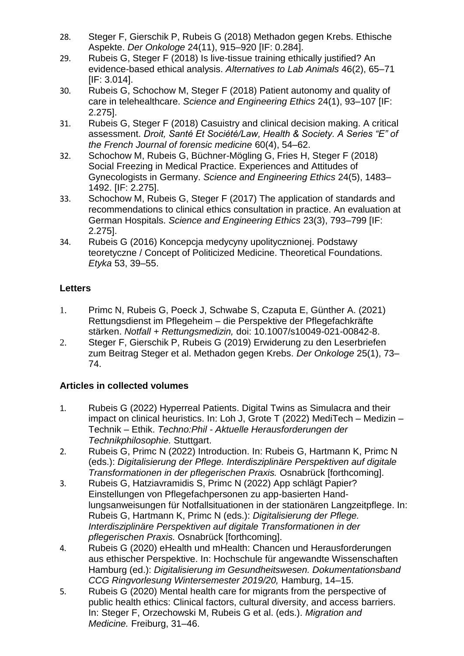- 28. Steger F, Gierschik P, Rubeis G (2018) Methadon gegen Krebs. Ethische Aspekte. *Der Onkologe* 24(11), 915–920 [IF: 0.284].
- 29. Rubeis G, Steger F (2018) Is live-tissue training ethically justified? An evidence-based ethical analysis. *Alternatives to Lab Animals* 46(2), 65–71 [IF: 3.014].
- 30. Rubeis G, Schochow M, Steger F (2018) Patient autonomy and quality of care in telehealthcare. *Science and Engineering Ethics* 24(1), 93–107 [IF: 2.275].
- 31. Rubeis G, Steger F (2018) Casuistry and clinical decision making. A critical assessment. *Droit, Santé Et Société/Law, Health & Society. A Series "E" of the French Journal of forensic medicine* 60(4), 54–62.
- 32. Schochow M, Rubeis G, Büchner-Mögling G, Fries H, Steger F (2018) Social Freezing in Medical Practice. Experiences and Attitudes of Gynecologists in Germany. *Science and Engineering Ethics* 24(5), 1483– 1492. [IF: 2.275].
- 33. Schochow M, Rubeis G, Steger F (2017) The application of standards and recommendations to clinical ethics consultation in practice. An evaluation at German Hospitals. *Science and Engineering Ethics* 23(3), 793–799 [IF: 2.275].
- 34. Rubeis G (2016) Koncepcja medycyny upolitycznionej. Podstawy teoretyczne / Concept of Politicized Medicine. Theoretical Foundations. *Etyka* 53, 39–55.

## **Letters**

- 1. Primc N, Rubeis G, Poeck J, Schwabe S, Czaputa E, Günther A. (2021) Rettungsdienst im Pflegeheim – die Perspektive der Pflegefachkräfte stärken. *Notfall + Rettungsmedizin,* doi: 10.1007/s10049-021-00842-8.
- 2. Steger F, Gierschik P, Rubeis G (2019) Erwiderung zu den Leserbriefen zum Beitrag Steger et al. Methadon gegen Krebs. *Der Onkologe* 25(1), 73– 74.

# **Articles in collected volumes**

- 1. Rubeis G (2022) Hyperreal Patients. Digital Twins as Simulacra and their impact on clinical heuristics. In: Loh J, Grote T (2022) MediTech – Medizin – Technik – Ethik. *Techno:Phil - Aktuelle Herausforderungen der Technikphilosophie.* Stuttgart.
- 2. Rubeis G, Primc N (2022) Introduction. In: Rubeis G, Hartmann K, Primc N (eds.): *Digitalisierung der Pflege. Interdisziplinäre Perspektiven auf digitale Transformationen in der pflegerischen Praxis.* Osnabrück [forthcoming].
- 3. Rubeis G, Hatziavramidis S, Primc N (2022) App schlägt Papier? Einstellungen von Pflegefachpersonen zu app-basierten Handlungsanweisungen für Notfallsituationen in der stationären Langzeitpflege. In: Rubeis G, Hartmann K, Primc N (eds.): *Digitalisierung der Pflege. Interdisziplinäre Perspektiven auf digitale Transformationen in der pflegerischen Praxis.* Osnabrück [forthcoming].
- 4. Rubeis G (2020) eHealth und mHealth: Chancen und Herausforderungen aus ethischer Perspektive. In: Hochschule für angewandte Wissenschaften Hamburg (ed.): *Digitalisierung im Gesundheitswesen. Dokumentationsband CCG Ringvorlesung Wintersemester 2019/20,* Hamburg, 14–15.
- 5. Rubeis G (2020) Mental health care for migrants from the perspective of public health ethics: Clinical factors, cultural diversity, and access barriers. In: Steger F, Orzechowski M, Rubeis G et al. (eds.). *Migration and Medicine.* Freiburg, 31–46.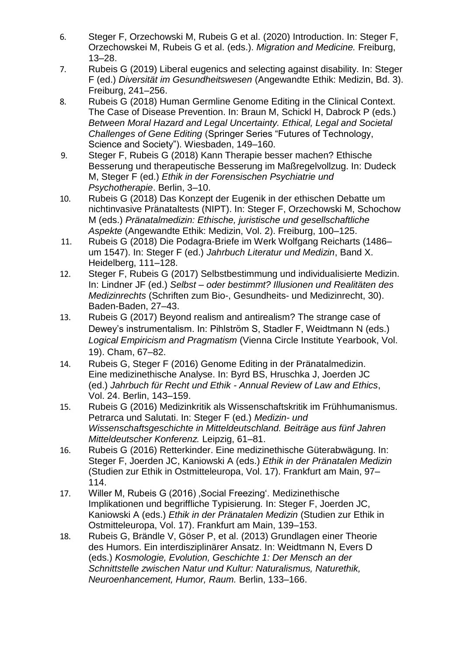- 6. Steger F, Orzechowski M, Rubeis G et al. (2020) Introduction. In: Steger F, Orzechowskei M, Rubeis G et al. (eds.). *Migration and Medicine.* Freiburg, 13–28.
- 7. Rubeis G (2019) Liberal eugenics and selecting against disability. In: Steger F (ed.) *Diversität im Gesundheitswesen* (Angewandte Ethik: Medizin, Bd. 3). Freiburg, 241–256.
- 8. Rubeis G (2018) Human Germline Genome Editing in the Clinical Context. The Case of Disease Prevention. In: Braun M, Schickl H, Dabrock P (eds.) *Between Moral Hazard and Legal Uncertainty. Ethical, Legal and Societal Challenges of Gene Editing* (Springer Series "Futures of Technology, Science and Society"). Wiesbaden, 149–160.
- 9. Steger F, Rubeis G (2018) Kann Therapie besser machen? Ethische Besserung und therapeutische Besserung im Maßregelvollzug. In: Dudeck M, Steger F (ed.) *Ethik in der Forensischen Psychiatrie und Psychotherapie*. Berlin, 3–10.
- 10. Rubeis G (2018) Das Konzept der Eugenik in der ethischen Debatte um nichtinvasive Pränataltests (NIPT). In: Steger F, Orzechowski M, Schochow M (eds.) *Pränatalmedizin: Ethische, juristische und gesellschaftliche Aspekte* (Angewandte Ethik: Medizin, Vol. 2). Freiburg, 100–125.
- 11. Rubeis G (2018) Die Podagra-Briefe im Werk Wolfgang Reicharts (1486– um 1547). In: Steger F (ed.) *Jahrbuch Literatur und Medizin*, Band X. Heidelberg, 111–128.
- 12. Steger F, Rubeis G (2017) Selbstbestimmung und individualisierte Medizin. In: Lindner JF (ed.) *Selbst – oder bestimmt? Illusionen und Realitäten des Medizinrechts* (Schriften zum Bio-, Gesundheits- und Medizinrecht, 30). Baden-Baden, 27–43.
- 13. Rubeis G (2017) Beyond realism and antirealism? The strange case of Dewey's instrumentalism. In: Pihlström S, Stadler F, Weidtmann N (eds.) *Logical Empiricism and Pragmatism* (Vienna Circle Institute Yearbook, Vol. 19). Cham, 67–82.
- 14. Rubeis G, Steger F (2016) Genome Editing in der Pränatalmedizin. Eine medizinethische Analyse. In: Byrd BS, Hruschka J, Joerden JC (ed.) *Jahrbuch für Recht und Ethik - Annual Review of Law and Ethics*, Vol. 24. Berlin, 143–159.
- 15. Rubeis G (2016) Medizinkritik als Wissenschaftskritik im Frühhumanismus. Petrarca und Salutati. In: Steger F (ed.) *Medizin- und Wissenschaftsgeschichte in Mitteldeutschland. Beiträge aus fünf Jahren Mitteldeutscher Konferenz.* Leipzig, 61–81.
- 16. Rubeis G (2016) Retterkinder. Eine medizinethische Güterabwägung. In: Steger F, Joerden JC, Kaniowski A (eds.) *Ethik in der Pränatalen Medizin* (Studien zur Ethik in Ostmitteleuropa, Vol. 17). Frankfurt am Main, 97– 114.
- 17. Willer M, Rubeis G (2016) , Social Freezing'. Medizinethische Implikationen und begriffliche Typisierung*.* In: Steger F, Joerden JC, Kaniowski A (eds.) *Ethik in der Pränatalen Medizin* (Studien zur Ethik in Ostmitteleuropa, Vol. 17). Frankfurt am Main, 139–153.
- 18. Rubeis G, Brändle V, Göser P, et al. (2013) Grundlagen einer Theorie des Humors. Ein interdisziplinärer Ansatz. In: Weidtmann N, Evers D (eds.) *Kosmologie, Evolution, Geschichte 1: Der Mensch an der Schnittstelle zwischen Natur und Kultur: Naturalismus, Naturethik, Neuroenhancement, Humor, Raum.* Berlin, 133–166.